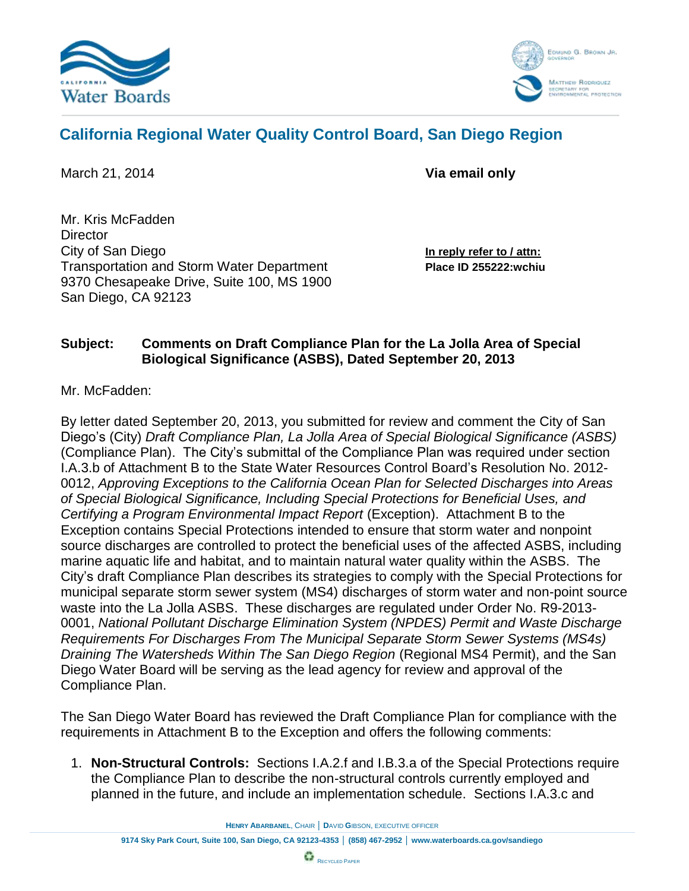



## **California Regional Water Quality Control Board, San Diego Region**

March 21, 2014 **Via email only**

Mr. Kris McFadden **Director** City of San Diego **In reply refer to / attn:** Transportation and Storm Water Department **Place ID 255222:wchiu** 9370 Chesapeake Drive, Suite 100, MS 1900 San Diego, CA 92123

## **Subject: Comments on Draft Compliance Plan for the La Jolla Area of Special Biological Significance (ASBS), Dated September 20, 2013**

Mr. McFadden:

By letter dated September 20, 2013, you submitted for review and comment the City of San Diego's (City) *Draft Compliance Plan, La Jolla Area of Special Biological Significance (ASBS)*  (Compliance Plan). The City's submittal of the Compliance Plan was required under section I.A.3.b of Attachment B to the State Water Resources Control Board's Resolution No. 2012- 0012, *Approving Exceptions to the California Ocean Plan for Selected Discharges into Areas of Special Biological Significance, Including Special Protections for Beneficial Uses, and Certifying a Program Environmental Impact Report* (Exception). Attachment B to the Exception contains Special Protections intended to ensure that storm water and nonpoint source discharges are controlled to protect the beneficial uses of the affected ASBS, including marine aquatic life and habitat, and to maintain natural water quality within the ASBS. The City's draft Compliance Plan describes its strategies to comply with the Special Protections for municipal separate storm sewer system (MS4) discharges of storm water and non-point source waste into the La Jolla ASBS. These discharges are regulated under Order No. R9-2013- 0001, *National Pollutant Discharge Elimination System (NPDES) Permit and Waste Discharge Requirements For Discharges From The Municipal Separate Storm Sewer Systems (MS4s) Draining The Watersheds Within The San Diego Region* (Regional MS4 Permit), and the San Diego Water Board will be serving as the lead agency for review and approval of the Compliance Plan.

The San Diego Water Board has reviewed the Draft Compliance Plan for compliance with the requirements in Attachment B to the Exception and offers the following comments:

1. **Non-Structural Controls:** Sections I.A.2.f and I.B.3.a of the Special Protections require the Compliance Plan to describe the non-structural controls currently employed and planned in the future, and include an implementation schedule. Sections I.A.3.c and

**HENRY ABARBANEL**, CHAIR │ **D**AVID **G**IBSON, EXECUTIVE OFFICER

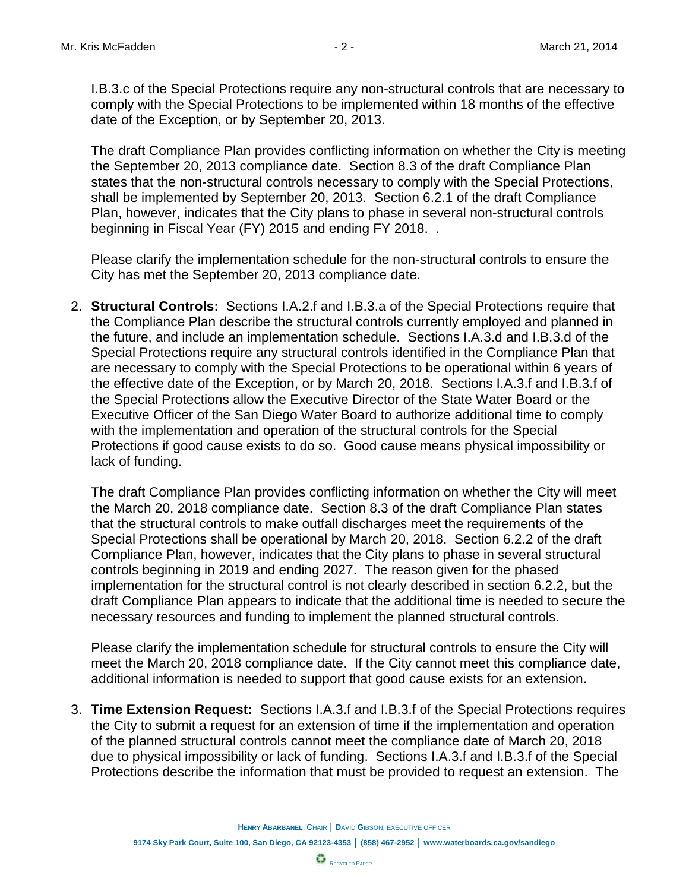I.B.3.c of the Special Protections require any non-structural controls that are necessary to comply with the Special Protections to be implemented within 18 months of the effective date of the Exception, or by September 20, 2013.

The draft Compliance Plan provides conflicting information on whether the City is meeting the September 20, 2013 compliance date. Section 8.3 of the draft Compliance Plan states that the non-structural controls necessary to comply with the Special Protections, shall be implemented by September 20, 2013. Section 6.2.1 of the draft Compliance Plan, however, indicates that the City plans to phase in several non-structural controls beginning in Fiscal Year (FY) 2015 and ending FY 2018. .

Please clarify the implementation schedule for the non-structural controls to ensure the City has met the September 20, 2013 compliance date.

2. **Structural Controls:** Sections I.A.2.f and I.B.3.a of the Special Protections require that the Compliance Plan describe the structural controls currently employed and planned in the future, and include an implementation schedule. Sections I.A.3.d and I.B.3.d of the Special Protections require any structural controls identified in the Compliance Plan that are necessary to comply with the Special Protections to be operational within 6 years of the effective date of the Exception, or by March 20, 2018. Sections I.A.3.f and I.B.3.f of the Special Protections allow the Executive Director of the State Water Board or the Executive Officer of the San Diego Water Board to authorize additional time to comply with the implementation and operation of the structural controls for the Special Protections if good cause exists to do so. Good cause means physical impossibility or lack of funding.

The draft Compliance Plan provides conflicting information on whether the City will meet the March 20, 2018 compliance date. Section 8.3 of the draft Compliance Plan states that the structural controls to make outfall discharges meet the requirements of the Special Protections shall be operational by March 20, 2018. Section 6.2.2 of the draft Compliance Plan, however, indicates that the City plans to phase in several structural controls beginning in 2019 and ending 2027. The reason given for the phased implementation for the structural control is not clearly described in section 6.2.2, but the draft Compliance Plan appears to indicate that the additional time is needed to secure the necessary resources and funding to implement the planned structural controls.

Please clarify the implementation schedule for structural controls to ensure the City will meet the March 20, 2018 compliance date. If the City cannot meet this compliance date, additional information is needed to support that good cause exists for an extension.

3. **Time Extension Request:** Sections I.A.3.f and I.B.3.f of the Special Protections requires the City to submit a request for an extension of time if the implementation and operation of the planned structural controls cannot meet the compliance date of March 20, 2018 due to physical impossibility or lack of funding. Sections I.A.3.f and I.B.3.f of the Special Protections describe the information that must be provided to request an extension. The

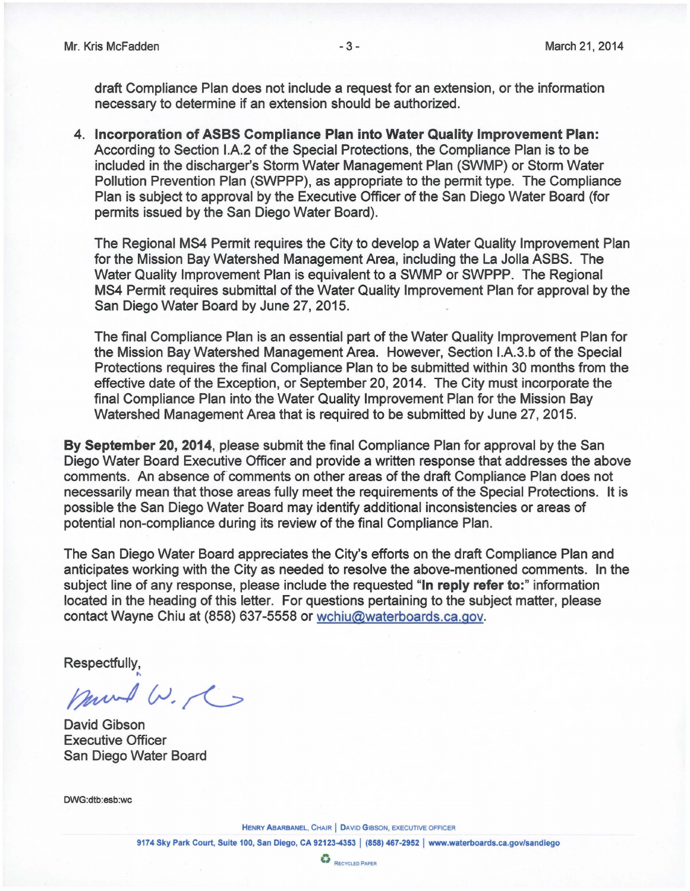draft Compliance Plan does not include a request for an extension, or the information necessary to determine if an extension should be authorized.

**4. Incorporation of ASBS Compliance Plan into Water Quality Improvement Plan:**  According to Section I.A.2 of the Special Protections, the Compliance Plan is to be included in the discharger's Storm Water Management Plan (SWMP) or Storm Water Pollution Prevention Plan (SWPPP), as appropriate to the permit type. The Compliance Plan is subject to approval by the Executive Officer of the San Diego Water Board (for permits issued by the San Diego Water Board).

The Regional MS4 Permit requires the City to develop a Water Quality Improvement Plan for the Mission Bay Watershed Management Area, including the La Jolla ASBS. The Water Quality Improvement Plan is equivalent to a SWMP or SWPPP. The Regional MS4 Permit requires submittal of the Water Quality Improvement Plan for approval by the San Diego Water Board by June 27, 2015.

The final Compliance Plan is an essential part of the Water Quality Improvement Plan for the Mission Bay Watershed Management Area. However, Section I.A.3.b of the Special Protections requires the final Compliance Plan to be submitted within 30 months from the effective date of the Exception, or September 20, 2014. The City must incorporate the final Compliance Plan into the Water Quality Improvement Plan for the Mission Bay Watershed Management Area that is required to be submitted by June 27, 2015.

**By September 20, 2014,** please submit the final Compliance Plan for approval by the San Diego Water Board Executive Officer and provide a written response that addresses the above comments. An absence of comments on other areas of the draft Compliance Plan does not necessarily mean that those areas fully meet the requirements of the Special Protections. It is possible the San Diego Water Board may identify additional inconsistencies or areas of potential non-compliance during its review of the final Compliance Plan.

The San Diego Water Board appreciates the City's efforts on the draft Compliance Plan and anticipates working with the City as needed to resolve the above-mentioned comments. In the subject line of any response, please include the requested "In **reply refer to:"** information located in the heading of this letter. For questions pertaining to the subject matter, please contact Wayne Chiu at (858) 637-5558 o[r wchiu@waterboards.ca.gov](mailto:wchiu@waterboards.ca.gov).

Respectfully,

mund W. C

David Gibson Executive Officer San Diego Water Board

DWG:dtb:esb:wc

HENRY ABARBANEL, CHAIR | DAVID GIBSON, EXECUTIVE OFFICER

9174 Sky Park Court, Suite 100, San Diego, CA 92123-4353 | (858) 467-2952 | www.waterboards.ca.gov/sandiego